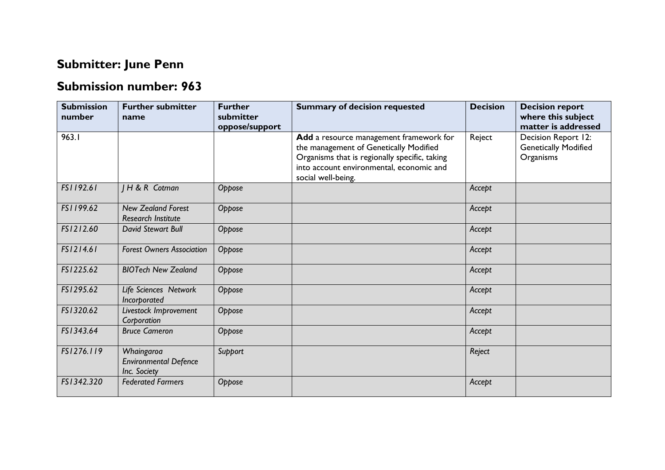## **Submitter: June Penn**

## **Submission number: 963**

| <b>Submission</b><br>number | <b>Further submitter</b><br>name                           | <b>Further</b><br>submitter<br>oppose/support | <b>Summary of decision requested</b>                                                                                                                                                                 | <b>Decision</b> | <b>Decision report</b><br>where this subject<br>matter is addressed |
|-----------------------------|------------------------------------------------------------|-----------------------------------------------|------------------------------------------------------------------------------------------------------------------------------------------------------------------------------------------------------|-----------------|---------------------------------------------------------------------|
| 963.1                       |                                                            |                                               | Add a resource management framework for<br>the management of Genetically Modified<br>Organisms that is regionally specific, taking<br>into account environmental, economic and<br>social well-being. | Reject          | Decision Report 12:<br><b>Genetically Modified</b><br>Organisms     |
| FS1192.61                   | JH & R Cotman                                              | Oppose                                        |                                                                                                                                                                                                      | Accept          |                                                                     |
| FS1199.62                   | <b>New Zealand Forest</b><br>Research Institute            | Oppose                                        |                                                                                                                                                                                                      | Accept          |                                                                     |
| FS1212.60                   | David Stewart Bull                                         | Oppose                                        |                                                                                                                                                                                                      | Accept          |                                                                     |
| FS1214.61                   | <b>Forest Owners Association</b>                           | Oppose                                        |                                                                                                                                                                                                      | Accept          |                                                                     |
| FS1225.62                   | <b>BIOTech New Zealand</b>                                 | Oppose                                        |                                                                                                                                                                                                      | Accept          |                                                                     |
| FS1295.62                   | Life Sciences Network<br>Incorporated                      | Oppose                                        |                                                                                                                                                                                                      | Accept          |                                                                     |
| FS1320.62                   | Livestock Improvement<br>Corporation                       | Oppose                                        |                                                                                                                                                                                                      | Accept          |                                                                     |
| FS1343.64                   | <b>Bruce Cameron</b>                                       | Oppose                                        |                                                                                                                                                                                                      | Accept          |                                                                     |
| FS1276.119                  | Whaingaroa<br><b>Environmental Defence</b><br>Inc. Society | Support                                       |                                                                                                                                                                                                      | Reject          |                                                                     |
| FS1342.320                  | <b>Federated Farmers</b>                                   | Oppose                                        |                                                                                                                                                                                                      | Accept          |                                                                     |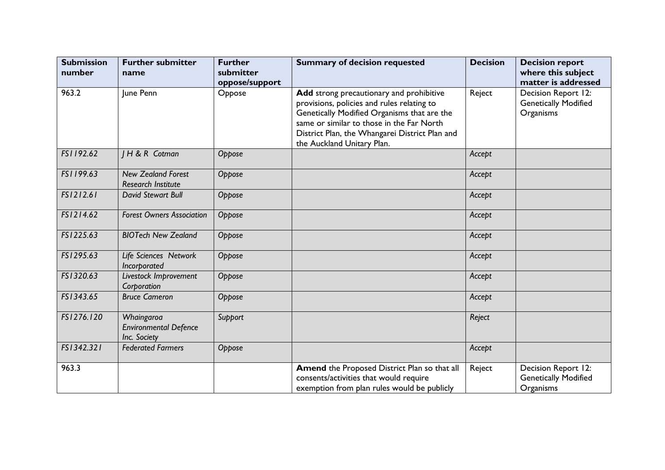| <b>Submission</b><br>number | <b>Further submitter</b><br>name                           | <b>Further</b><br>submitter<br>oppose/support | <b>Summary of decision requested</b>                                                                                                                                                                                                                               | <b>Decision</b> | <b>Decision report</b><br>where this subject<br>matter is addressed |
|-----------------------------|------------------------------------------------------------|-----------------------------------------------|--------------------------------------------------------------------------------------------------------------------------------------------------------------------------------------------------------------------------------------------------------------------|-----------------|---------------------------------------------------------------------|
| 963.2                       | June Penn                                                  | Oppose                                        | Add strong precautionary and prohibitive<br>provisions, policies and rules relating to<br>Genetically Modified Organisms that are the<br>same or similar to those in the Far North<br>District Plan, the Whangarei District Plan and<br>the Auckland Unitary Plan. | Reject          | Decision Report 12:<br><b>Genetically Modified</b><br>Organisms     |
| FS1192.62                   | <b>IH&amp;R</b> Cotman                                     | Oppose                                        |                                                                                                                                                                                                                                                                    | Accept          |                                                                     |
| FS1199.63                   | <b>New Zealand Forest</b><br><b>Research Institute</b>     | Oppose                                        |                                                                                                                                                                                                                                                                    | Accept          |                                                                     |
| FS1212.61                   | <b>David Stewart Bull</b>                                  | Oppose                                        |                                                                                                                                                                                                                                                                    | Accept          |                                                                     |
| FS1214.62                   | <b>Forest Owners Association</b>                           | Oppose                                        |                                                                                                                                                                                                                                                                    | Accept          |                                                                     |
| FS1225.63                   | <b>BIOTech New Zealand</b>                                 | Oppose                                        |                                                                                                                                                                                                                                                                    | Accept          |                                                                     |
| FS1295.63                   | Life Sciences Network<br>Incorporated                      | Oppose                                        |                                                                                                                                                                                                                                                                    | Accept          |                                                                     |
| FS1320.63                   | Livestock Improvement<br>Corporation                       | Oppose                                        |                                                                                                                                                                                                                                                                    | Accept          |                                                                     |
| FS1343.65                   | <b>Bruce Cameron</b>                                       | Oppose                                        |                                                                                                                                                                                                                                                                    | Accept          |                                                                     |
| FS1276.120                  | Whaingaroa<br><b>Environmental Defence</b><br>Inc. Society | Support                                       |                                                                                                                                                                                                                                                                    | Reject          |                                                                     |
| FS1342.321                  | <b>Federated Farmers</b>                                   | Oppose                                        |                                                                                                                                                                                                                                                                    | Accept          |                                                                     |
| 963.3                       |                                                            |                                               | Amend the Proposed District Plan so that all<br>consents/activities that would require<br>exemption from plan rules would be publicly                                                                                                                              | Reject          | Decision Report 12:<br><b>Genetically Modified</b><br>Organisms     |